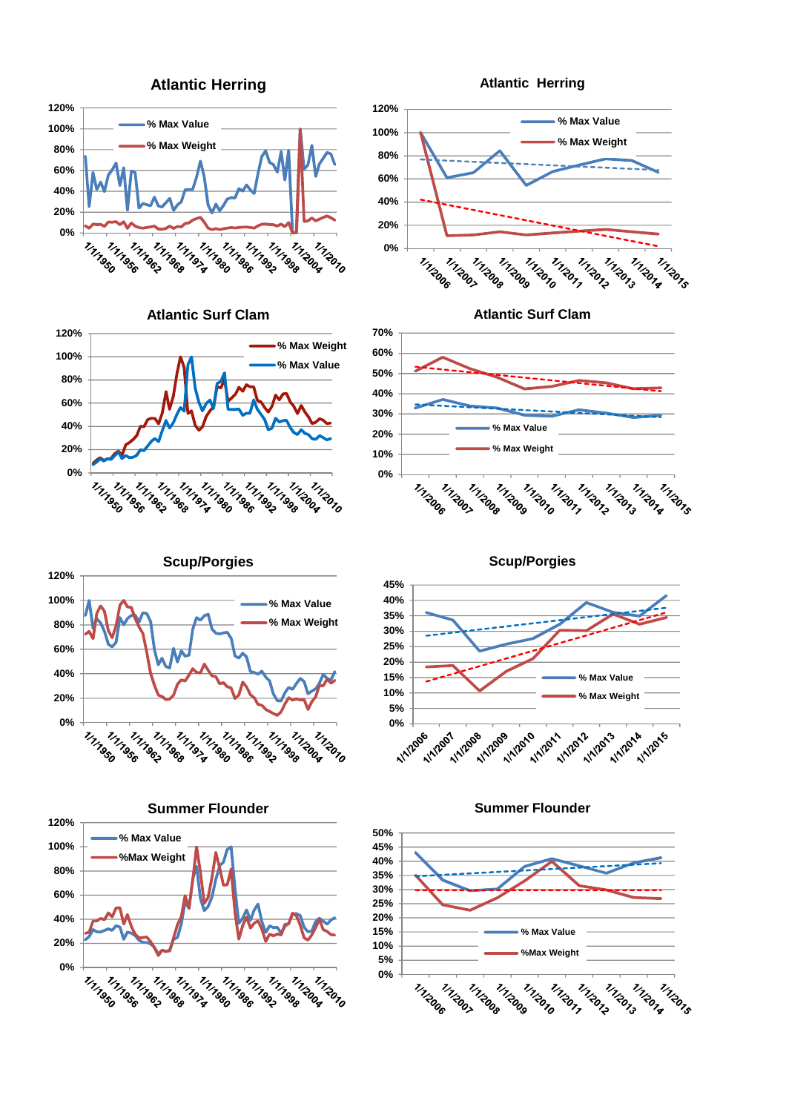

**Atlantic Surf Clam**



**80% 60% 40% 20% 0%** 1112007 1/1/2006 11120<sub>8</sub> 1112009 1/1/2010 ו<br>ירו<sub>קאו</sub><br>ב<sup>201</sup>7 Tringers 1/1/2017 Trigors 1/1/2014

**Atlantic Surf Clam**



**Scup/Porgies 120% 100% % Max Value % Max Weight 80% 60% 40% 20% 0%** THINGSO 1111<sup>111</sup>111 111 111 111196<sub>0</sub> 1/1/1/1 1/1/1/1 1111966 1111993 1/1/1/1/1 1112004 1/1/2010











**Atlantic Herring**

**Atlantic Herring**

**% Max Value % Max Weight**

**100% 120%**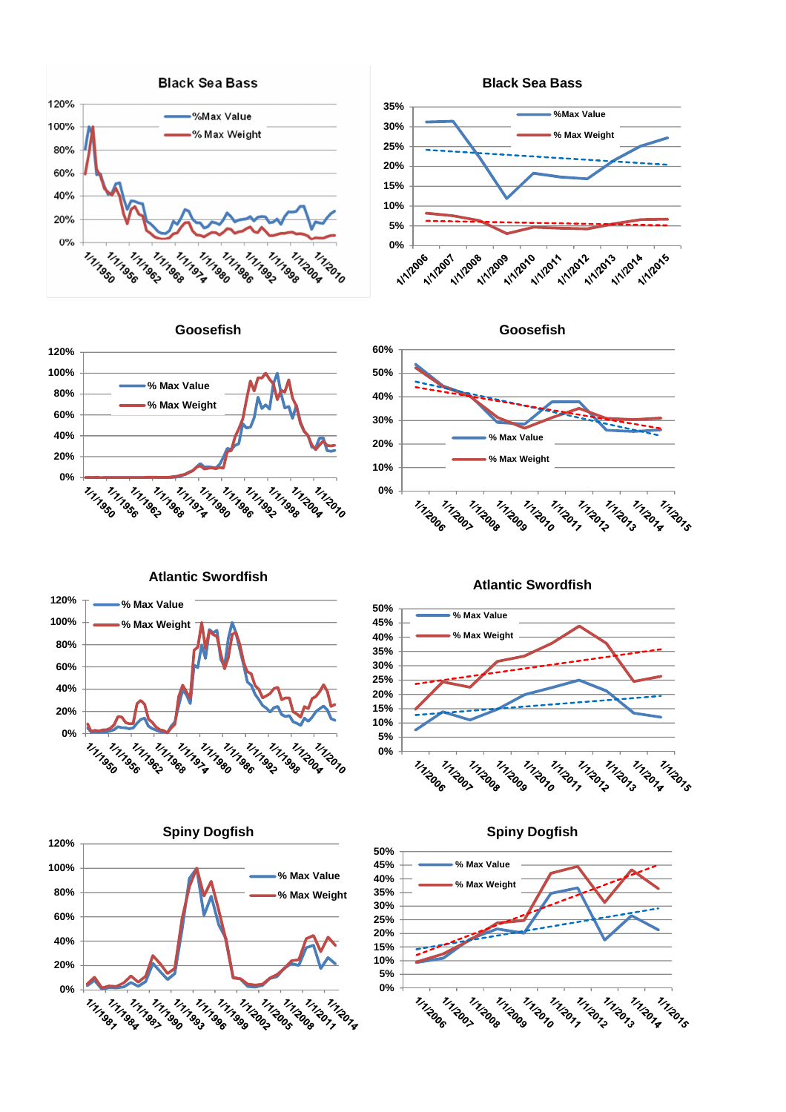





**Atlantic Swordfish**





TITIZOTS

1/1/2014

**Goosefish**







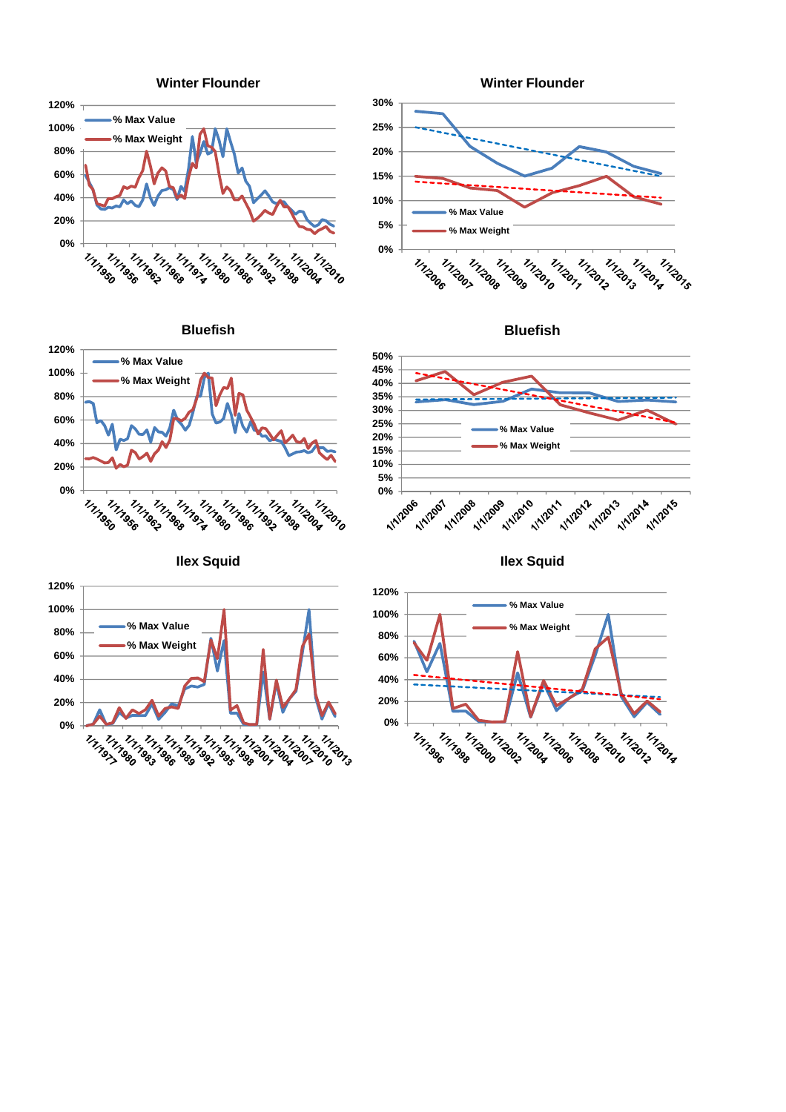











**Ilex Squid**